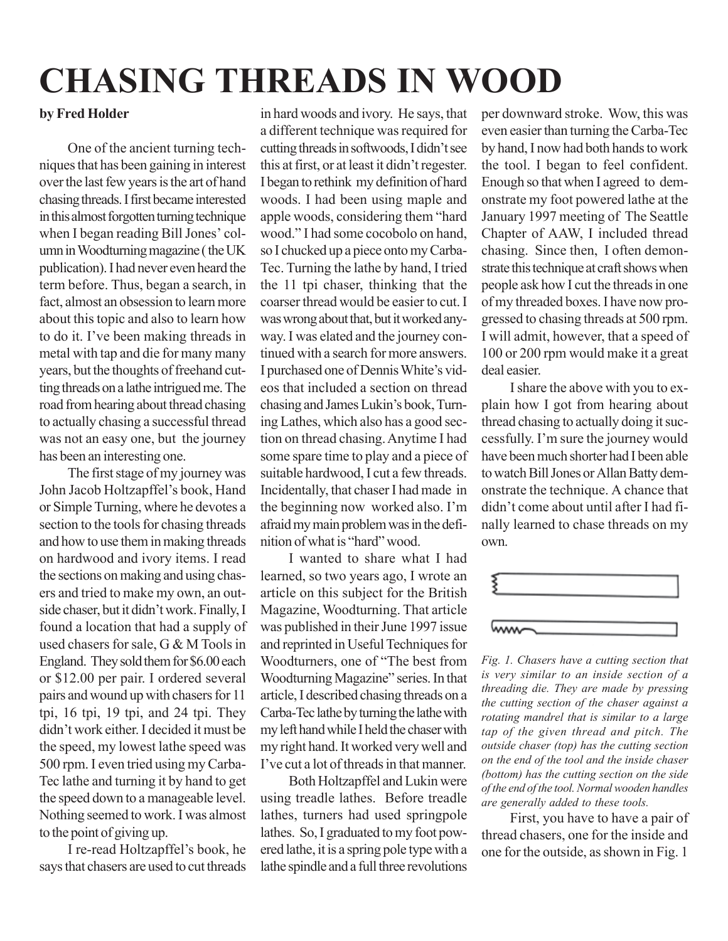## **CHASING THREADS IN WOOD**

## **by Fred Holder**

One of the ancient turning techniques that has been gaining in interest over the last few years is the art of hand chasing threads. I first became interested in this almost forgotten turning technique when I began reading Bill Jones' column in Woodturning magazine ( the UK publication). I had never even heard the term before. Thus, began a search, in fact, almost an obsession to learn more about this topic and also to learn how to do it. I've been making threads in metal with tap and die for many many years, but the thoughts of freehand cutting threads on a lathe intrigued me. The road from hearing about thread chasing to actually chasing a successful thread was not an easy one, but the journey has been an interesting one.

The first stage of my journey was John Jacob Holtzapffel's book, Hand or Simple Turning, where he devotes a section to the tools for chasing threads and how to use them in making threads on hardwood and ivory items. I read the sections on making and using chasers and tried to make my own, an outside chaser, but it didn't work. Finally, I found a location that had a supply of used chasers for sale, G & M Tools in England. They sold them for \$6.00 each or \$12.00 per pair. I ordered several pairs and wound up with chasers for 11 tpi, 16 tpi, 19 tpi, and 24 tpi. They didn't work either. I decided it must be the speed, my lowest lathe speed was 500 rpm. I even tried using my Carba-Tec lathe and turning it by hand to get the speed down to a manageable level. Nothing seemed to work. I was almost to the point of giving up.

I re-read Holtzapffel's book, he says that chasers are used to cut threads

in hard woods and ivory. He says, that a different technique was required for cutting threads in softwoods, I didn't see this at first, or at least it didn't regester. I began to rethink my definition of hard woods. I had been using maple and apple woods, considering them "hard wood." I had some cocobolo on hand, so I chucked up a piece onto my Carba-Tec. Turning the lathe by hand, I tried the 11 tpi chaser, thinking that the coarser thread would be easier to cut. I was wrong about that, but it worked anyway. I was elated and the journey continued with a search for more answers. I purchased one of Dennis White's videos that included a section on thread chasing and James Lukin's book, Turning Lathes, which also has a good section on thread chasing. Anytime I had some spare time to play and a piece of suitable hardwood, I cut a few threads. Incidentally, that chaser I had made in the beginning now worked also. I'm afraid my main problem was in the definition of what is "hard" wood.

I wanted to share what I had learned, so two years ago, I wrote an article on this subject for the British Magazine, Woodturning. That article was published in their June 1997 issue and reprinted in Useful Techniques for Woodturners, one of "The best from Woodturning Magazine" series. In that article, I described chasing threads on a Carba-Tec lathe by turning the lathe with my left hand while I held the chaser with my right hand. It worked very well and I've cut a lot of threads in that manner.

Both Holtzapffel and Lukin were using treadle lathes. Before treadle lathes, turners had used springpole lathes. So, I graduated to my foot powered lathe, it is a spring pole type with a lathe spindle and a full three revolutions

per downward stroke. Wow, this was even easier than turning the Carba-Tec by hand, I now had both hands to work the tool. I began to feel confident. Enough so that when I agreed to demonstrate my foot powered lathe at the January 1997 meeting of The Seattle Chapter of AAW, I included thread chasing. Since then, I often demonstrate this technique at craft shows when people ask how I cut the threads in one of my threaded boxes. I have now progressed to chasing threads at 500 rpm. I will admit, however, that a speed of 100 or 200 rpm would make it a great deal easier.

I share the above with you to explain how I got from hearing about thread chasing to actually doing it successfully. I'm sure the journey would have been much shorter had I been able to watch Bill Jones or Allan Batty demonstrate the technique. A chance that didn't come about until after I had finally learned to chase threads on my own.



*Fig. 1. Chasers have a cutting section that is very similar to an inside section of a threading die. They are made by pressing the cutting section of the chaser against a rotating mandrel that is similar to a large tap of the given thread and pitch. The outside chaser (top) has the cutting section on the end of the tool and the inside chaser (bottom) has the cutting section on the side of the end of the tool. Normal wooden handles are generally added to these tools.*

First, you have to have a pair of thread chasers, one for the inside and one for the outside, as shown in Fig. 1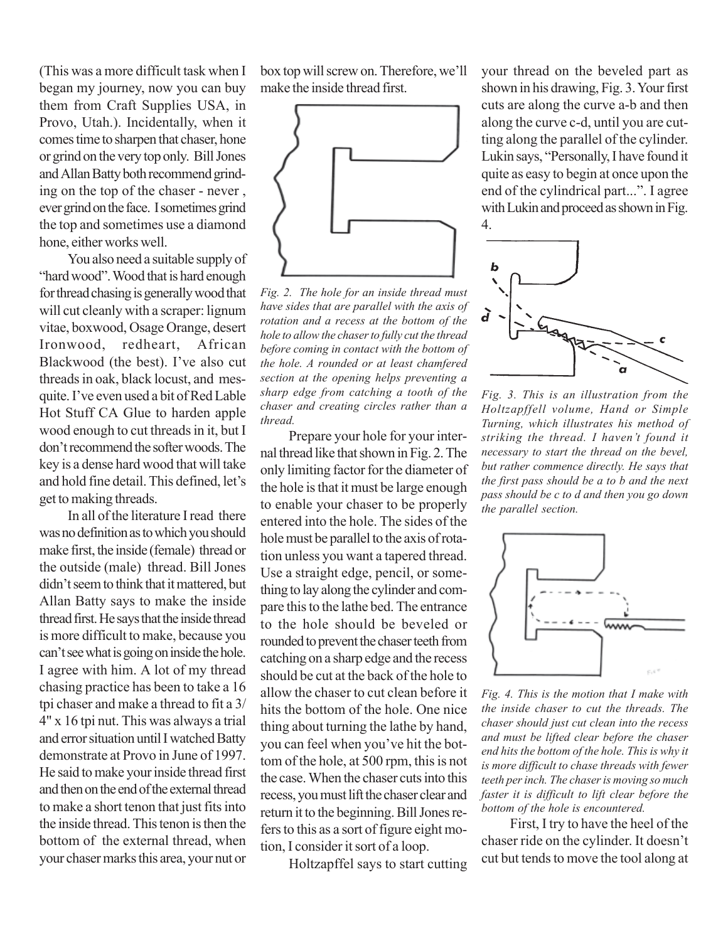(This was a more difficult task when I began my journey, now you can buy them from Craft Supplies USA, in Provo, Utah.). Incidentally, when it comes time to sharpen that chaser, hone or grind on the very top only. Bill Jones and Allan Batty both recommend grinding on the top of the chaser - never , ever grind on the face. I sometimes grind the top and sometimes use a diamond hone, either works well.

You also need a suitable supply of "hard wood". Wood that is hard enough for thread chasing is generally wood that will cut cleanly with a scraper: lignum vitae, boxwood, Osage Orange, desert Ironwood, redheart, African Blackwood (the best). I've also cut threads in oak, black locust, and mesquite. I've even used a bit of Red Lable Hot Stuff CA Glue to harden apple wood enough to cut threads in it, but I don't recommend the softer woods. The key is a dense hard wood that will take and hold fine detail. This defined, let's get to making threads.

In all of the literature I read there was no definition as to which you should make first, the inside (female) thread or the outside (male) thread. Bill Jones didn't seem to think that it mattered, but Allan Batty says to make the inside thread first. He says that the inside thread is more difficult to make, because you can't see what is going on inside the hole. I agree with him. A lot of my thread chasing practice has been to take a 16 tpi chaser and make a thread to fit a 3/ 4" x 16 tpi nut. This was always a trial and error situation until I watched Batty demonstrate at Provo in June of 1997. He said to make your inside thread first and then on the end of the external thread to make a short tenon that just fits into the inside thread. This tenon is then the bottom of the external thread, when your chaser marks this area, your nut or box top will screw on. Therefore, we'll make the inside thread first.



*Fig. 2. The hole for an inside thread must have sides that are parallel with the axis of rotation and a recess at the bottom of the hole to allow the chaser to fully cut the thread before coming in contact with the bottom of the hole. A rounded or at least chamfered section at the opening helps preventing a sharp edge from catching a tooth of the chaser and creating circles rather than a thread.*

Prepare your hole for your internal thread like that shown in Fig. 2. The only limiting factor for the diameter of the hole is that it must be large enough to enable your chaser to be properly entered into the hole. The sides of the hole must be parallel to the axis of rotation unless you want a tapered thread. Use a straight edge, pencil, or something to lay along the cylinder and compare this to the lathe bed. The entrance to the hole should be beveled or rounded to prevent the chaser teeth from catching on a sharp edge and the recess should be cut at the back of the hole to allow the chaser to cut clean before it hits the bottom of the hole. One nice thing about turning the lathe by hand, you can feel when you've hit the bottom of the hole, at 500 rpm, this is not the case. When the chaser cuts into this recess, you must lift the chaser clear and return it to the beginning. Bill Jones refers to this as a sort of figure eight motion, I consider it sort of a loop.

Holtzapffel says to start cutting

your thread on the beveled part as shown in his drawing, Fig. 3. Your first cuts are along the curve a-b and then along the curve c-d, until you are cutting along the parallel of the cylinder. Lukin says, "Personally, I have found it quite as easy to begin at once upon the end of the cylindrical part...". I agree with Lukin and proceed as shown in Fig. 4.



*Fig. 3. This is an illustration from the Holtzapffell volume, Hand or Simple Turning, which illustrates his method of striking the thread. I haven't found it necessary to start the thread on the bevel, but rather commence directly. He says that the first pass should be a to b and the next pass should be c to d and then you go down the parallel section.*



*Fig. 4. This is the motion that I make with the inside chaser to cut the threads. The chaser should just cut clean into the recess and must be lifted clear before the chaser end hits the bottom of the hole. This is why it is more difficult to chase threads with fewer teeth per inch. The chaser is moving so much faster it is difficult to lift clear before the bottom of the hole is encountered.*

First, I try to have the heel of the chaser ride on the cylinder. It doesn't cut but tends to move the tool along at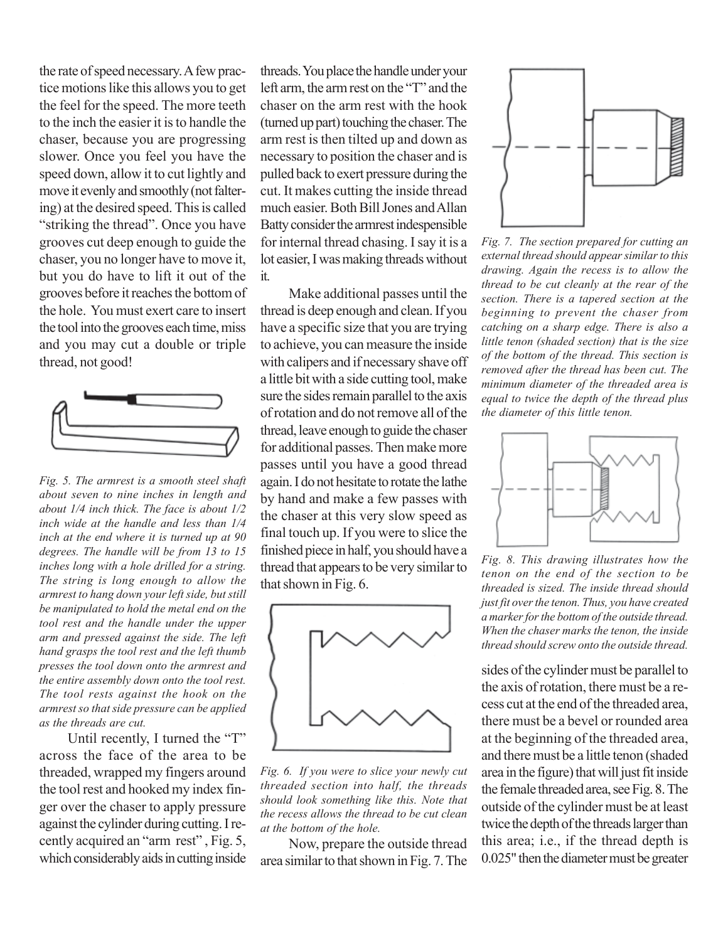the rate of speed necessary. A few practice motions like this allows you to get the feel for the speed. The more teeth to the inch the easier it is to handle the chaser, because you are progressing slower. Once you feel you have the speed down, allow it to cut lightly and move it evenly and smoothly (not faltering) at the desired speed. This is called "striking the thread". Once you have grooves cut deep enough to guide the chaser, you no longer have to move it, but you do have to lift it out of the grooves before it reaches the bottom of the hole. You must exert care to insert the tool into the grooves each time, miss and you may cut a double or triple thread, not good!



*Fig. 5. The armrest is a smooth steel shaft about seven to nine inches in length and about 1/4 inch thick. The face is about 1/2 inch wide at the handle and less than 1/4 inch at the end where it is turned up at 90 degrees. The handle will be from 13 to 15 inches long with a hole drilled for a string. The string is long enough to allow the armrest to hang down your left side, but still be manipulated to hold the metal end on the tool rest and the handle under the upper arm and pressed against the side. The left hand grasps the tool rest and the left thumb presses the tool down onto the armrest and the entire assembly down onto the tool rest. The tool rests against the hook on the armrest so that side pressure can be applied as the threads are cut.*

Until recently, I turned the "T" across the face of the area to be threaded, wrapped my fingers around the tool rest and hooked my index finger over the chaser to apply pressure against the cylinder during cutting. I recently acquired an "arm rest" , Fig. 5, which considerably aids in cutting inside

threads. You place the handle under your left arm, the arm rest on the "T" and the chaser on the arm rest with the hook (turned up part) touching the chaser. The arm rest is then tilted up and down as necessary to position the chaser and is pulled back to exert pressure during the cut. It makes cutting the inside thread much easier. Both Bill Jones and Allan Batty consider the armrest indespensible for internal thread chasing. I say it is a lot easier, I was making threads without it.

Make additional passes until the thread is deep enough and clean. If you have a specific size that you are trying to achieve, you can measure the inside with calipers and if necessary shave off a little bit with a side cutting tool, make sure the sides remain parallel to the axis of rotation and do not remove all of the thread, leave enough to guide the chaser for additional passes. Then make more passes until you have a good thread again. I do not hesitate to rotate the lathe by hand and make a few passes with the chaser at this very slow speed as final touch up. If you were to slice the finished piece in half, you should have a thread that appears to be very similar to that shown in Fig. 6.



*Fig. 6. If you were to slice your newly cut threaded section into half, the threads should look something like this. Note that the recess allows the thread to be cut clean at the bottom of the hole.*

Now, prepare the outside thread area similar to that shown in Fig. 7. The



*Fig. 7. The section prepared for cutting an external thread should appear similar to this drawing. Again the recess is to allow the thread to be cut cleanly at the rear of the section. There is a tapered section at the beginning to prevent the chaser from catching on a sharp edge. There is also a little tenon (shaded section) that is the size of the bottom of the thread. This section is removed after the thread has been cut. The minimum diameter of the threaded area is equal to twice the depth of the thread plus the diameter of this little tenon.*



*Fig. 8. This drawing illustrates how the tenon on the end of the section to be threaded is sized. The inside thread should just fit over the tenon. Thus, you have created a marker for the bottom of the outside thread. When the chaser marks the tenon, the inside thread should screw onto the outside thread.*

sides of the cylinder must be parallel to the axis of rotation, there must be a recess cut at the end of the threaded area, there must be a bevel or rounded area at the beginning of the threaded area, and there must be a little tenon (shaded area in the figure) that will just fit inside the female threaded area, see Fig. 8. The outside of the cylinder must be at least twice the depth of the threads larger than this area; i.e., if the thread depth is 0.025" then the diameter must be greater